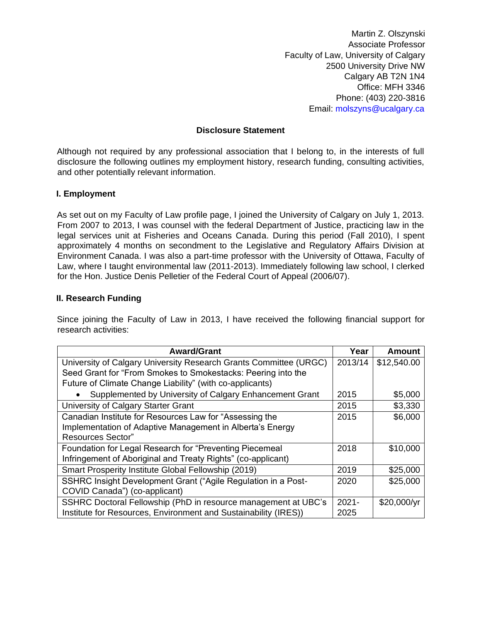Martin Z. Olszynski Associate Professor Faculty of Law, University of Calgary 2500 University Drive NW Calgary AB T2N 1N4 Office: MFH 3346 Phone: (403) 220-3816 Email: molszyns@ucalgary.ca

### **Disclosure Statement**

Although not required by any professional association that I belong to, in the interests of full disclosure the following outlines my employment history, research funding, consulting activities, and other potentially relevant information.

### **I. Employment**

As set out on my Faculty of Law profile page, I joined the University of Calgary on July 1, 2013. From 2007 to 2013, I was counsel with the federal Department of Justice, practicing law in the legal services unit at Fisheries and Oceans Canada. During this period (Fall 2010), I spent approximately 4 months on secondment to the Legislative and Regulatory Affairs Division at Environment Canada. I was also a part-time professor with the University of Ottawa, Faculty of Law, where I taught environmental law (2011-2013). Immediately following law school, I clerked for the Hon. Justice Denis Pelletier of the Federal Court of Appeal (2006/07).

### **II. Research Funding**

Since joining the Faculty of Law in 2013, I have received the following financial support for research activities:

| <b>Award/Grant</b>                                                | Year     | <b>Amount</b> |
|-------------------------------------------------------------------|----------|---------------|
| University of Calgary University Research Grants Committee (URGC) | 2013/14  | \$12,540.00   |
| Seed Grant for "From Smokes to Smokestacks: Peering into the      |          |               |
| Future of Climate Change Liability" (with co-applicants)          |          |               |
| Supplemented by University of Calgary Enhancement Grant           | 2015     | \$5,000       |
| University of Calgary Starter Grant                               | 2015     | \$3,330       |
| Canadian Institute for Resources Law for "Assessing the           | 2015     | \$6,000       |
| Implementation of Adaptive Management in Alberta's Energy         |          |               |
| <b>Resources Sector"</b>                                          |          |               |
| Foundation for Legal Research for "Preventing Piecemeal           | 2018     | \$10,000      |
| Infringement of Aboriginal and Treaty Rights" (co-applicant)      |          |               |
| Smart Prosperity Institute Global Fellowship (2019)               | 2019     | \$25,000      |
| SSHRC Insight Development Grant ("Agile Regulation in a Post-     | 2020     | \$25,000      |
| COVID Canada") (co-applicant)                                     |          |               |
| SSHRC Doctoral Fellowship (PhD in resource management at UBC's    | $2021 -$ | \$20,000/yr   |
| Institute for Resources, Environment and Sustainability (IRES))   | 2025     |               |